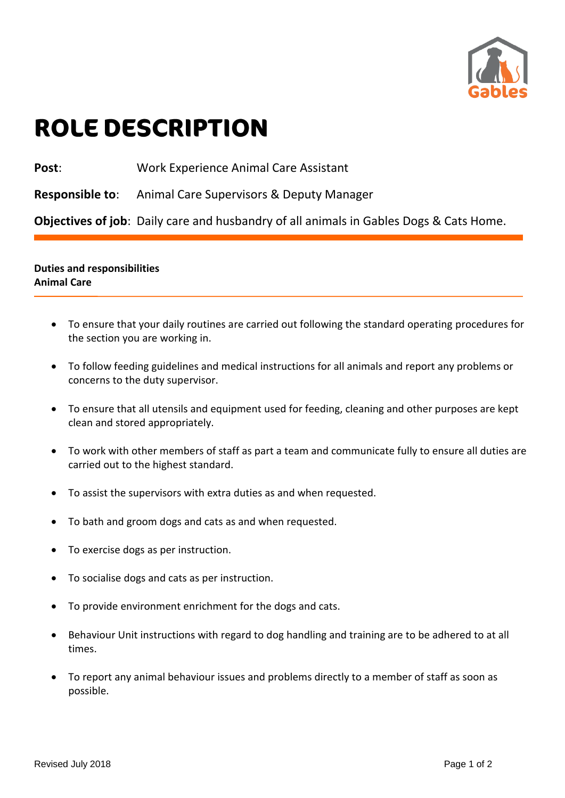

## **ROLE DESCRIPTION**

**Post**: Work Experience Animal Care Assistant

**Responsible to**: Animal Care Supervisors & Deputy Manager

**Objectives of job**: Daily care and husbandry of all animals in Gables Dogs & Cats Home.

## **Duties and responsibilities Animal Care**

- To ensure that your daily routines are carried out following the standard operating procedures for the section you are working in.
- To follow feeding guidelines and medical instructions for all animals and report any problems or concerns to the duty supervisor.
- To ensure that all utensils and equipment used for feeding, cleaning and other purposes are kept clean and stored appropriately.
- To work with other members of staff as part a team and communicate fully to ensure all duties are carried out to the highest standard.
- To assist the supervisors with extra duties as and when requested.
- To bath and groom dogs and cats as and when requested.
- To exercise dogs as per instruction.
- To socialise dogs and cats as per instruction.
- To provide environment enrichment for the dogs and cats.
- Behaviour Unit instructions with regard to dog handling and training are to be adhered to at all times.
- To report any animal behaviour issues and problems directly to a member of staff as soon as possible.